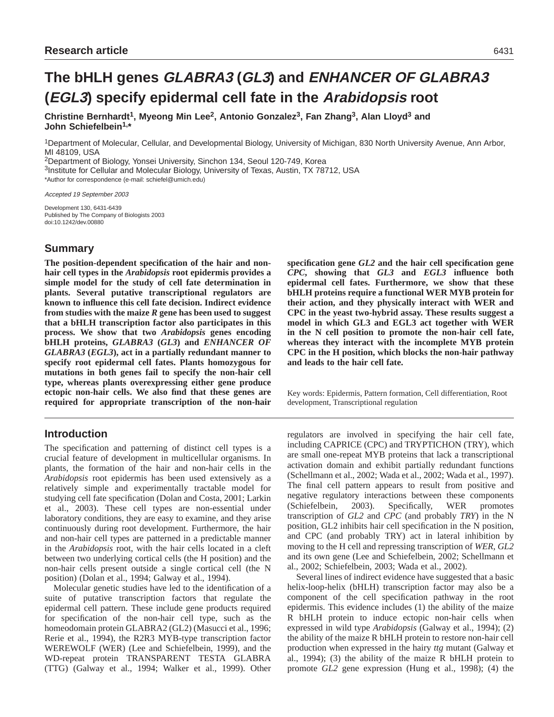**Christine Bernhardt1, Myeong Min Lee2, Antonio Gonzalez3, Fan Zhang3, Alan Lloyd3 and John Schiefelbein1,\***

1Department of Molecular, Cellular, and Developmental Biology, University of Michigan, 830 North University Avenue, Ann Arbor, MI 48109, USA

2Department of Biology, Yonsei University, Sinchon 134, Seoul 120-749, Korea

3Institute for Cellular and Molecular Biology, University of Texas, Austin, TX 78712, USA \*Author for correspondence (e-mail: schiefel@umich.edu)

Accepted 19 September 2003

Development 130, 6431-6439 Published by The Company of Biologists 2003 doi:10.1242/dev.00880

# **Summary**

**The position-dependent specification of the hair and nonhair cell types in the** *Arabidopsis* **root epidermis provides a simple model for the study of cell fate determination in plants. Several putative transcriptional regulators are known to influence this cell fate decision. Indirect evidence from studies with the maize** *R* **gene has been used to suggest that a bHLH transcription factor also participates in this process. We show that two** *Arabidopsis* **genes encoding bHLH proteins,** *GLABRA3* **(***GL3***) and** *ENHANCER OF GLABRA3* **(***EGL3***), act in a partially redundant manner to specify root epidermal cell fates. Plants homozygous for mutations in both genes fail to specify the non-hair cell type, whereas plants overexpressing either gene produce ectopic non-hair cells. We also find that these genes are required for appropriate transcription of the non-hair**

# **Introduction**

The specification and patterning of distinct cell types is a crucial feature of development in multicellular organisms. In plants, the formation of the hair and non-hair cells in the *Arabidopsis* root epidermis has been used extensively as a relatively simple and experimentally tractable model for studying cell fate specification (Dolan and Costa, 2001; Larkin et al., 2003). These cell types are non-essential under laboratory conditions, they are easy to examine, and they arise continuously during root development. Furthermore, the hair and non-hair cell types are patterned in a predictable manner in the *Arabidopsis* root, with the hair cells located in a cleft between two underlying cortical cells (the H position) and the non-hair cells present outside a single cortical cell (the N position) (Dolan et al., 1994; Galway et al., 1994).

Molecular genetic studies have led to the identification of a suite of putative transcription factors that regulate the epidermal cell pattern. These include gene products required for specification of the non-hair cell type, such as the homeodomain protein GLABRA2 (GL2) (Masucci et al., 1996; Rerie et al., 1994), the R2R3 MYB-type transcription factor WEREWOLF (WER) (Lee and Schiefelbein, 1999), and the WD-repeat protein TRANSPARENT TESTA GLABRA (TTG) (Galway et al., 1994; Walker et al., 1999). Other

**specification gene** *GL2* **and the hair cell specification gene** *CPC***, showing that** *GL3* **and** *EGL3* **influence both epidermal cell fates. Furthermore, we show that these bHLH proteins require a functional WER MYB protein for their action, and they physically interact with WER and CPC in the yeast two-hybrid assay. These results suggest a model in which GL3 and EGL3 act together with WER in the N cell position to promote the non-hair cell fate, whereas they interact with the incomplete MYB protein CPC in the H position, which blocks the non-hair pathway and leads to the hair cell fate.**

Key words: Epidermis, Pattern formation, Cell differentiation, Root development, Transcriptional regulation

regulators are involved in specifying the hair cell fate, including CAPRICE (CPC) and TRYPTICHON (TRY), which are small one-repeat MYB proteins that lack a transcriptional activation domain and exhibit partially redundant functions (Schellmann et al., 2002; Wada et al., 2002; Wada et al., 1997). The final cell pattern appears to result from positive and negative regulatory interactions between these components (Schiefelbein, 2003). Specifically, WER promotes transcription of *GL2* and *CPC* (and probably *TRY*) in the N position, GL2 inhibits hair cell specification in the N position, and CPC (and probably TRY) act in lateral inhibition by moving to the H cell and repressing transcription of *WER*, *GL2* and its own gene (Lee and Schiefelbein, 2002; Schellmann et al., 2002; Schiefelbein, 2003; Wada et al., 2002).

Several lines of indirect evidence have suggested that a basic helix-loop-helix (bHLH) transcription factor may also be a component of the cell specification pathway in the root epidermis. This evidence includes (1) the ability of the maize R bHLH protein to induce ectopic non-hair cells when expressed in wild type *Arabidopsis* (Galway et al., 1994); (2) the ability of the maize R bHLH protein to restore non-hair cell production when expressed in the hairy *ttg* mutant (Galway et al., 1994); (3) the ability of the maize R bHLH protein to promote *GL2* gene expression (Hung et al., 1998); (4) the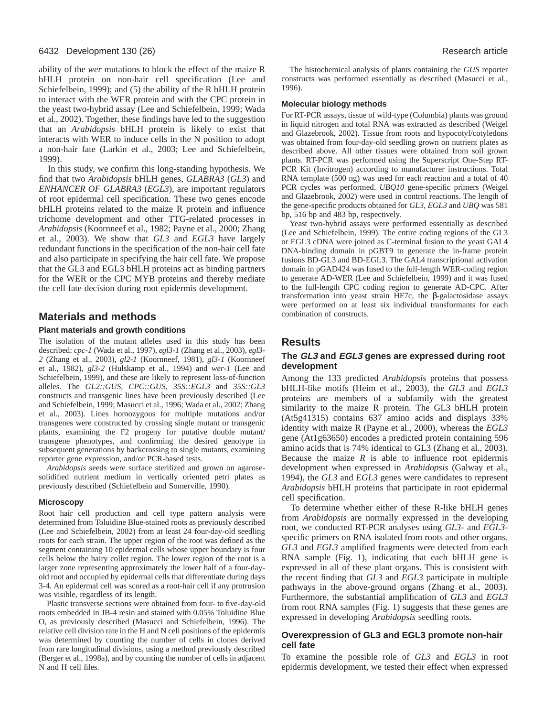#### 6432 Development 130 (26) Research article

ability of the *wer* mutations to block the effect of the maize R bHLH protein on non-hair cell specification (Lee and Schiefelbein, 1999); and (5) the ability of the R bHLH protein to interact with the WER protein and with the CPC protein in the yeast two-hybrid assay (Lee and Schiefelbein, 1999; Wada et al., 2002). Together, these findings have led to the suggestion that an *Arabidopsis* bHLH protein is likely to exist that interacts with WER to induce cells in the N position to adopt a non-hair fate (Larkin et al., 2003; Lee and Schiefelbein, 1999).

In this study, we confirm this long-standing hypothesis. We find that two *Arabidopsis* bHLH genes, *GLABRA3* (*GL3*) and *ENHANCER OF GLABRA3* (*EGL3*), are important regulators of root epidermal cell specification. These two genes encode bHLH proteins related to the maize R protein and influence trichome development and other TTG-related processes in *Arabidopsis* (Koornneef et al., 1982; Payne et al., 2000; Zhang et al., 2003). We show that *GL3* and *EGL3* have largely redundant functions in the specification of the non-hair cell fate and also participate in specifying the hair cell fate. We propose that the GL3 and EGL3 bHLH proteins act as binding partners for the WER or the CPC MYB proteins and thereby mediate the cell fate decision during root epidermis development.

## **Materials and methods**

#### **Plant materials and growth conditions**

The isolation of the mutant alleles used in this study has been described: *cpc-1* (Wada et al., 1997), *egl3-1* (Zhang et al., 2003), *egl3- 2* (Zhang et al., 2003), *gl2-1* (Koornneef, 1981), *gl3-1* (Koornneef et al., 1982), *gl3-2* (Hulskamp et al., 1994) and *wer-1* (Lee and Schiefelbein, 1999), and these are likely to represent loss-of-function alleles. The *GL2::GUS*, *CPC::GUS*, *35S::EGL3* and *35S::GL3* constructs and transgenic lines have been previously described (Lee and Schiefelbein, 1999; Masucci et al., 1996; Wada et al., 2002; Zhang et al., 2003). Lines homozygous for multiple mutations and/or transgenes were constructed by crossing single mutant or transgenic plants, examining the F2 progeny for putative double mutant/ transgene phenotypes, and confirming the desired genotype in subsequent generations by backcrossing to single mutants, examining reporter gene expression, and/or PCR-based tests.

*Arabidopsis* seeds were surface sterilized and grown on agarosesolidified nutrient medium in vertically oriented petri plates as previously described (Schiefelbein and Somerville, 1990).

#### **Microscopy**

Root hair cell production and cell type pattern analysis were determined from Toluidine Blue-stained roots as previously described (Lee and Schiefelbein, 2002) from at least 24 four-day-old seedling roots for each strain. The upper region of the root was defined as the segment containing 10 epidermal cells whose upper boundary is four cells below the hairy collet region. The lower region of the root is a larger zone representing approximately the lower half of a four-dayold root and occupied by epidermal cells that differentiate during days 3-4. An epidermal cell was scored as a root-hair cell if any protrusion was visible, regardless of its length.

Plastic transverse sections were obtained from four- to five-day-old roots embedded in JB-4 resin and stained with 0.05% Toluidine Blue O, as previously described (Masucci and Schiefelbein, 1996). The relative cell division rate in the H and N cell positions of the epidermis was determined by counting the number of cells in clones derived from rare longitudinal divisions, using a method previously described (Berger et al., 1998a), and by counting the number of cells in adjacent N and H cell files.

The histochemical analysis of plants containing the *GUS* reporter constructs was performed essentially as described (Masucci et al., 1996).

#### **Molecular biology methods**

For RT-PCR assays, tissue of wild-type (Columbia) plants was ground in liquid nitrogen and total RNA was extracted as described (Weigel and Glazebrook, 2002). Tissue from roots and hypocotyl/cotyledons was obtained from four-day-old seedling grown on nutrient plates as described above. All other tissues were obtained from soil grown plants. RT-PCR was performed using the Superscript One-Step RT-PCR Kit (Invitrogen) according to manufacturer instructions. Total RNA template (500 ng) was used for each reaction and a total of 40 PCR cycles was performed. *UBQ10* gene-specific primers (Weigel and Glazebrook, 2002) were used in control reactions. The length of the gene-specific products obtained for *GL3*, *EGL3* and *UBQ* was 581 bp, 516 bp and 483 bp, respectively.

Yeast two-hybrid assays were performed essentially as described (Lee and Schiefelbein, 1999). The entire coding regions of the GL3 or EGL3 cDNA were joined as C-terminal fusion to the yeast GAL4 DNA-binding domain in pGBT9 to generate the in-frame protein fusions BD-GL3 and BD-EGL3. The GAL4 transcriptional activation domain in pGAD424 was fused to the full-length WER-coding region to generate AD-WER (Lee and Schiefelbein, 1999) and it was fused to the full-length CPC coding region to generate AD-CPC. After transformation into yeast strain HF7c, the β-galactosidase assays were performed on at least six individual transformants for each combination of constructs.

## **Results**

### **The GL3 and EGL3 genes are expressed during root development**

Among the 133 predicted *Arabidopsis* proteins that possess bHLH-like motifs (Heim et al., 2003), the *GL3* and *EGL3* proteins are members of a subfamily with the greatest similarity to the maize R protein. The GL3 bHLH protein (At5g41315) contains 637 amino acids and displays 33% identity with maize R (Payne et al., 2000), whereas the *EGL3* gene (At1g63650) encodes a predicted protein containing 596 amino acids that is 74% identical to GL3 (Zhang et al., 2003). Because the maize  $R$  is able to influence root epidermis development when expressed in *Arabidopsis* (Galway et al., 1994), the *GL3* and *EGL3* genes were candidates to represent *Arabidopsis* bHLH proteins that participate in root epidermal cell specification.

To determine whether either of these R-like bHLH genes from *Arabidopsis* are normally expressed in the developing root, we conducted RT-PCR analyses using *GL3*- and *EGL3* specific primers on RNA isolated from roots and other organs. *GL3* and *EGL3* amplified fragments were detected from each RNA sample (Fig. 1), indicating that each bHLH gene is expressed in all of these plant organs. This is consistent with the recent finding that *GL3* and *EGL3* participate in multiple pathways in the above-ground organs (Zhang et al., 2003). Furthermore, the substantial amplification of *GL3* and *EGL3* from root RNA samples (Fig. 1) suggests that these genes are expressed in developing *Arabidopsis* seedling roots.

## **Overexpression of GL3 and EGL3 promote non-hair cell fate**

To examine the possible role of *GL3* and *EGL3* in root epidermis development, we tested their effect when expressed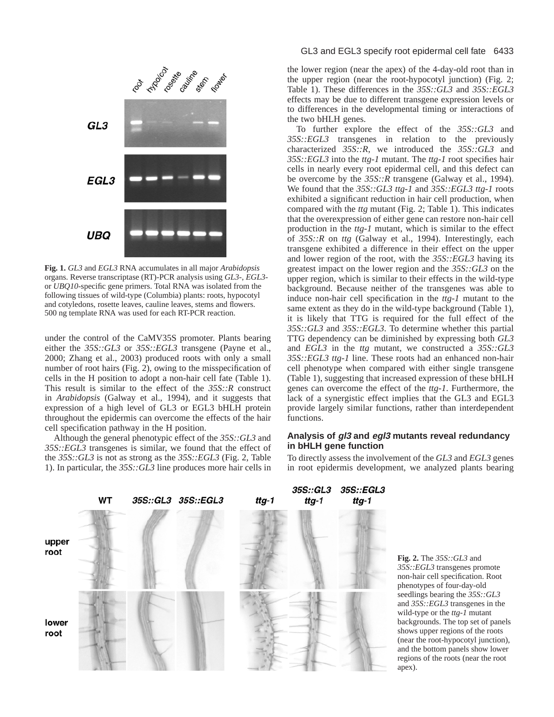

**Fig. 1.** *GL3* and *EGL3* RNA accumulates in all major *Arabidopsis* organs. Reverse transcriptase (RT)-PCR analysis using *GL3*-, *EGL3* or *UBQ10*-specific gene primers. Total RNA was isolated from the following tissues of wild-type (Columbia) plants: roots, hypocotyl and cotyledons, rosette leaves, cauline leaves, stems and flowers. 500 ng template RNA was used for each RT-PCR reaction.

under the control of the CaMV35S promoter. Plants bearing either the *35S::GL3* or *35S::EGL3* transgene (Payne et al., 2000; Zhang et al., 2003) produced roots with only a small number of root hairs (Fig. 2), owing to the misspecification of cells in the H position to adopt a non-hair cell fate (Table 1). This result is similar to the effect of the *35S::R* construct in *Arabidopsis* (Galway et al., 1994), and it suggests that expression of a high level of GL3 or EGL3 bHLH protein throughout the epidermis can overcome the effects of the hair cell specification pathway in the H position.

Although the general phenotypic effect of the *35S::GL3* and *35S::EGL3* transgenes is similar, we found that the effect of the *35S::GL3* is not as strong as the *35S::EGL3* (Fig. 2, Table 1). In particular, the *35S::GL3* line produces more hair cells in

#### GL3 and EGL3 specify root epidermal cell fate 6433

the lower region (near the apex) of the 4-day-old root than in the upper region (near the root-hypocotyl junction) (Fig. 2; Table 1). These differences in the *35S::GL3* and *35S::EGL3* effects may be due to different transgene expression levels or to differences in the developmental timing or interactions of the two bHLH genes.

To further explore the effect of the *35S::GL3* and *35S::EGL3* transgenes in relation to the previously characterized *35S::R*, we introduced the *35S::GL3* and *35S::EGL3* into the *ttg-1* mutant. The *ttg-1* root specifies hair cells in nearly every root epidermal cell, and this defect can be overcome by the *35S::R* transgene (Galway et al., 1994). We found that the *35S::GL3 ttg-1* and *35S::EGL3 ttg-1* roots exhibited a significant reduction in hair cell production, when compared with the *ttg* mutant (Fig. 2; Table 1). This indicates that the overexpression of either gene can restore non-hair cell production in the *ttg-1* mutant, which is similar to the effect of *35S::R* on *ttg* (Galway et al., 1994). Interestingly, each transgene exhibited a difference in their effect on the upper and lower region of the root, with the *35S::EGL3* having its greatest impact on the lower region and the *35S::GL3* on the upper region, which is similar to their effects in the wild-type background. Because neither of the transgenes was able to induce non-hair cell specification in the *ttg-1* mutant to the same extent as they do in the wild-type background (Table 1), it is likely that TTG is required for the full effect of the *35S::GL3* and *35S::EGL3*. To determine whether this partial TTG dependency can be diminished by expressing both *GL3* and *EGL3* in the *ttg* mutant, we constructed a *35S::GL3 35S::EGL3 ttg-1* line. These roots had an enhanced non-hair cell phenotype when compared with either single transgene (Table 1), suggesting that increased expression of these bHLH genes can overcome the effect of the *ttg-1*. Furthermore, the lack of a synergistic effect implies that the GL3 and EGL3 provide largely similar functions, rather than interdependent functions.

## **Analysis of gl3 and egl3 mutants reveal redundancy in bHLH gene function**

To directly assess the involvement of the *GL3* and *EGL3* genes in root epidermis development, we analyzed plants bearing



**Fig. 2.** The *35S::GL3* and *35S::EGL3* transgenes promote non-hair cell specification. Root phenotypes of four-day-old seedlings bearing the *35S::GL3* and *35S::EGL3* transgenes in the wild-type or the *ttg-1* mutant backgrounds. The top set of panels shows upper regions of the roots (near the root-hypocotyl junction), and the bottom panels show lower regions of the roots (near the root apex).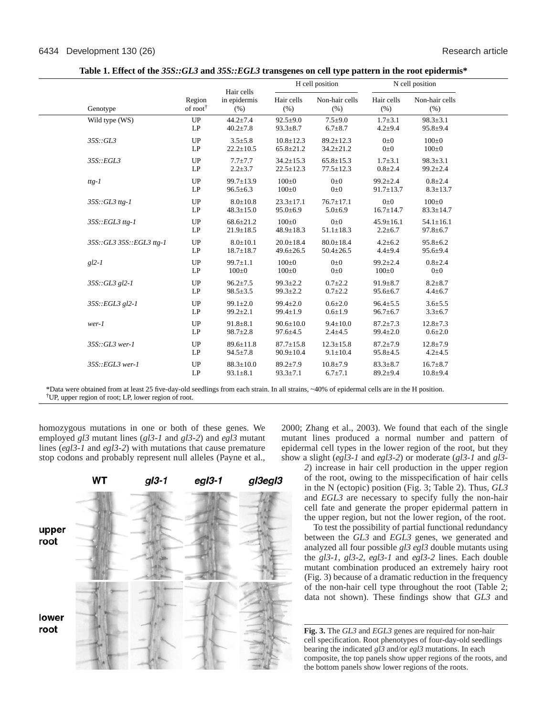|                          |                                |                                    | H cell position                    |                                    | N cell position                   |                                   |  |
|--------------------------|--------------------------------|------------------------------------|------------------------------------|------------------------------------|-----------------------------------|-----------------------------------|--|
| Genotype                 | Region<br>of root <sup>†</sup> | Hair cells<br>in epidermis<br>(% ) | Hair cells<br>(% )                 | Non-hair cells<br>(% )             | Hair cells<br>(% )                | Non-hair cells<br>(%)             |  |
| Wild type (WS)           | UP<br>LP                       | $44.2 \pm 7.4$<br>$40.2 \pm 7.8$   | $92.5+9.0$<br>$93.3 \pm 8.7$       | $7.5 \pm 9.0$<br>$6.7 \pm 8.7$     | $1.7 + 3.1$<br>$4.2 \pm 9.4$      | $98.3 \pm 3.1$<br>$95.8 \pm 9.4$  |  |
| 35S::GL3                 | UP<br>LP                       | $3.5 \pm 5.8$<br>$22.2 \pm 10.5$   | $10.8 \pm 12.3$<br>$65.8 \pm 21.2$ | $89.2 \pm 12.3$<br>$34.2 \pm 21.2$ | $0\pm 0$<br>$0\pm 0$              | $100 \pm 0$<br>$100 \pm 0$        |  |
| 35S::EGL3                | UP<br>LP                       | $7.7 + 7.7$<br>$2.2 \pm 3.7$       | $34.2 \pm 15.3$<br>$22.5 \pm 12.3$ | $65.8 \pm 15.3$<br>$77.5 \pm 12.3$ | $1.7 + 3.1$<br>$0.8 + 2.4$        | $98.3 \pm 3.1$<br>$99.2 \pm 2.4$  |  |
| $ttg-1$                  | UP<br>LP                       | $99.7 \pm 13.9$<br>$96.5 \pm 6.3$  | $100\pm0$<br>$100 \pm 0$           | $0\pm 0$<br>$0\pm 0$               | $99.2 \pm 2.4$<br>$91.7 \pm 13.7$ | $0.8{\pm}2.4$<br>$8.3 \pm 13.7$   |  |
| $35S::GL3$ ttg-1         | UP<br>LP                       | $8.0 \pm 10.8$<br>$48.3 \pm 15.0$  | $23.3 \pm 17.1$<br>$95.0 \pm 6.9$  | $76.7 \pm 17.1$<br>$5.0 \pm 6.9$   | $0\pm 0$<br>$16.7 \pm 14.7$       | $100+0$<br>$83.3 \pm 14.7$        |  |
| $35S::EGL3$ ttg-1        | UP<br>LP                       | $68.6 \pm 21.2$<br>$21.9 \pm 18.5$ | $100+0$<br>$48.9 \pm 18.3$         | $0\pm 0$<br>$51.1 \pm 18.3$        | $45.9 \pm 16.1$<br>$2.2 \pm 6.7$  | $54.1 \pm 16.1$<br>$97.8 \pm 6.7$ |  |
| 35S::GL3 35S::EGL3 ttg-1 | UP<br>LP                       | $8.0 \pm 10.1$<br>$18.7 \pm 18.7$  | $20.0 \pm 18.4$<br>$49.6 \pm 26.5$ | $80.0 \pm 18.4$<br>$50.4 \pm 26.5$ | $4.2 \pm 6.2$<br>$4.4 + 9.4$      | $95.8 \pm 6.2$<br>$95.6 \pm 9.4$  |  |
| $gl2-I$                  | UP<br>LP                       | $99.7 \pm 1.1$<br>$100 \pm 0$      | $100+0$<br>$100 \pm 0$             | $0\pm 0$<br>$0\pm 0$               | $99.2 \pm 2.4$<br>$100 \pm 0$     | $0.8 + 2.4$<br>$0\pm 0$           |  |
| $35S::GL3$ gl2-1         | UP<br>LP                       | $96.2 \pm 7.5$<br>$98.5 \pm 3.5$   | $99.3 \pm 2.2$<br>$99.3 \pm 2.2$   | $0.7 \pm 2.2$<br>$0.7 \pm 2.2$     | $91.9 \pm 8.7$<br>$95.6 \pm 6.7$  | $8.2 \pm 8.7$<br>$4.4 \pm 6.7$    |  |
| $35S::EGL3$ gl2-1        | UP<br>LP                       | $99.1 \pm 2.0$<br>$99.2 \pm 2.1$   | $99.4 \pm 2.0$<br>$99.4 \pm 1.9$   | $0.6{\pm}2.0$<br>$0.6 \pm 1.9$     | $96.4 \pm 5.5$<br>$96.7 \pm 6.7$  | $3.6 + 5.5$<br>$3.3 \pm 6.7$      |  |
| $wer-1$                  | UP<br>LP                       | $91.8 \pm 8.1$<br>$98.7 \pm 2.8$   | $90.6 \pm 10.0$<br>$97.6 \pm 4.5$  | $9.4 \pm 10.0$<br>$2.4 \pm 4.5$    | $87.2 \pm 7.3$<br>$99.4 \pm 2.0$  | $12.8 \pm 7.3$<br>$0.6{\pm}2.0$   |  |
| $35S::GL3$ wer-1         | UP<br>LP                       | $89.6 \pm 11.8$<br>$94.5 \pm 7.8$  | $87.7 \pm 15.8$<br>$90.9 \pm 10.4$ | $12.3 \pm 15.8$<br>$9.1 \pm 10.4$  | $87.2 \pm 7.9$<br>$95.8 \pm 4.5$  | $12.8 \pm 7.9$<br>$4.2 + 4.5$     |  |
| 35S::EGL3 wer-1          | UP<br>LP                       | $88.3 \pm 10.0$<br>$93.1 \pm 8.1$  | $89.2 \pm 7.9$<br>$93.3 \pm 7.1$   | $10.8 \pm 7.9$<br>$6.7 \pm 7.1$    | $83.3 \pm 8.7$<br>$89.2 \pm 9.4$  | $16.7 \pm 8.7$<br>$10.8 + 9.4$    |  |

**Table 1. Effect of the** *35S::GL3* **and** *35S::EGL3* **transgenes on cell type pattern in the root epidermis\***

\*Data were obtained from at least 25 five-day-old seedlings from each strain. In all strains, ~40% of epidermal cells are in the H position. †UP, upper region of root; LP, lower region of root.

homozygous mutations in one or both of these genes. We employed *gl3* mutant lines (*gl3-1* and *gl3-2*) and *egl3* mutant lines (*egl3-1* and *egl3-2*) with mutations that cause premature stop codons and probably represent null alleles (Payne et al.,



2000; Zhang et al., 2003). We found that each of the single mutant lines produced a normal number and pattern of epidermal cell types in the lower region of the root, but they show a slight (*egl3-1* and *egl3-2*) or moderate (*gl3-1* and *gl3-*

*2*) increase in hair cell production in the upper region of the root, owing to the misspecification of hair cells in the N (ectopic) position (Fig. 3; Table 2). Thus, *GL3* and *EGL3* are necessary to specify fully the non-hair cell fate and generate the proper epidermal pattern in the upper region, but not the lower region, of the root.

To test the possibility of partial functional redundancy between the *GL3* and *EGL3* genes, we generated and analyzed all four possible *gl3 egl3* double mutants using the *gl3-1*, *gl3-2*, *egl3-1* and *egl3-2* lines. Each double mutant combination produced an extremely hairy root (Fig. 3) because of a dramatic reduction in the frequency of the non-hair cell type throughout the root (Table 2; data not shown). These findings show that *GL3* and

**Fig. 3.** The *GL3* and *EGL3* genes are required for non-hair cell specification. Root phenotypes of four-day-old seedlings bearing the indicated *gl3* and/or *egl3* mutations. In each composite, the top panels show upper regions of the roots, and the bottom panels show lower regions of the roots.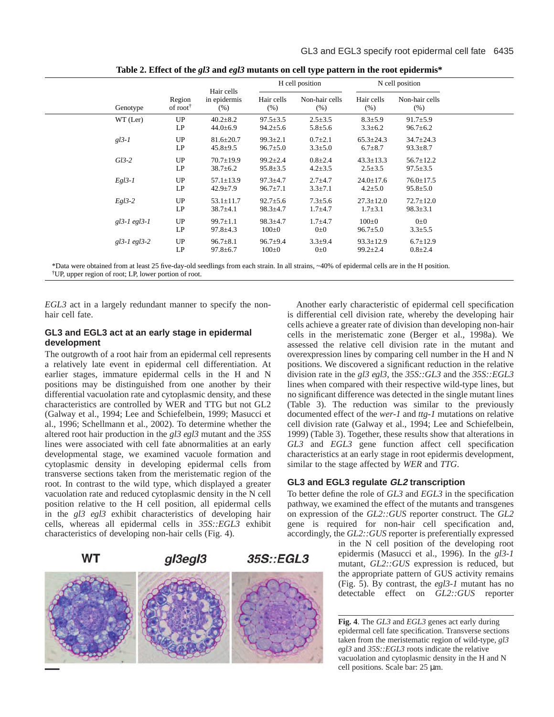|                   |                      |                 |                |                |                 | N cell position |
|-------------------|----------------------|-----------------|----------------|----------------|-----------------|-----------------|
| Genotype          | Region               | in epidermis    | Hair cells     | Non-hair cells | Hair cells      | Non-hair cells  |
|                   | of root <sup>†</sup> | (% )            | (% )           | (% )           | (% )            | (% )            |
| WT (Ler)          | UP                   | $40.2 \pm 8.2$  | $97.5 \pm 3.5$ | $2.5 \pm 3.5$  | $8.3 \pm 5.9$   | $91.7 \pm 5.9$  |
|                   | LP                   | $44.0 \pm 6.9$  | $94.2 \pm 5.6$ | $5.8 \pm 5.6$  | $3.3 \pm 6.2$   | $96.7 \pm 6.2$  |
| $gl3-1$           | UP                   | $81.6 \pm 20.7$ | $99.3 \pm 2.1$ | $0.7 \pm 2.1$  | $65.3 \pm 24.3$ | $34.7 \pm 24.3$ |
|                   | LP                   | $45.8 \pm 9.5$  | $96.7 \pm 5.0$ | $3.3 \pm 5.0$  | $6.7 \pm 8.7$   | $93.3 \pm 8.7$  |
| $Gl3-2$           | UP                   | $70.7 \pm 19.9$ | $99.2 \pm 2.4$ | $0.8 \pm 2.4$  | $43.3 \pm 13.3$ | $56.7 \pm 12.2$ |
|                   | LP                   | $38.7 \pm 6.2$  | $95.8 \pm 3.5$ | $4.2 \pm 3.5$  | $2.5 \pm 3.5$   | $97.5 \pm 3.5$  |
| $Egl3-I$          | UP                   | $57.1 \pm 13.9$ | $97.3 \pm 4.7$ | $2.7 + 4.7$    | $24.0 \pm 17.6$ | $76.0 \pm 17.5$ |
|                   | LP                   | $42.9 \pm 7.9$  | $96.7 \pm 7.1$ | $3.3 \pm 7.1$  | $4.2 \pm 5.0$   | $95.8 \pm 5.0$  |
| $Egl3-2$          | UP                   | $53.1 \pm 11.7$ | $92.7 \pm 5.6$ | $7.3 \pm 5.6$  | $27.3 \pm 12.0$ | $72.7 \pm 12.0$ |
|                   | LP                   | $38.7 \pm 4.1$  | $98.3 \pm 4.7$ | $1.7 + 4.7$    | $1.7 \pm 3.1$   | $98.3 \pm 3.1$  |
| $gl3-1$ egl $3-1$ | UP                   | $99.7 \pm 1.1$  | $98.3 \pm 4.7$ | $1.7 + 4.7$    | $100 \pm 0$     | $0\pm 0$        |
|                   | LP                   | $97.8 \pm 4.3$  | $100 \pm 0$    | $0\pm 0$       | $96.7 \pm 5.0$  | $3.3 \pm 5.5$   |
| $gl3-1$ egl $3-2$ | UP                   | $96.7 \pm 8.1$  | $96.7 + 9.4$   | $3.3 \pm 9.4$  | $93.3 \pm 12.9$ | $6.7 \pm 12.9$  |
|                   | LP                   | $97.8 \pm 6.7$  | $100 \pm 0$    | $0\pm 0$       | $99.2 \pm 2.4$  | $0.8 \pm 2.4$   |
|                   |                      |                 | Hair cells     |                | H cell position |                 |

**Table 2. Effect of the** *gl3* **and** *egl3* **mutants on cell type pattern in the root epidermis\***

\*Data were obtained from at least 25 five-day-old seedlings from each strain. In all strains, ~40% of epidermal cells are in the H position. †UP, upper region of root; LP, lower portion of root.

*EGL3* act in a largely redundant manner to specify the nonhair cell fate.

## **GL3 and EGL3 act at an early stage in epidermal development**

The outgrowth of a root hair from an epidermal cell represents a relatively late event in epidermal cell differentiation. At earlier stages, immature epidermal cells in the H and N positions may be distinguished from one another by their differential vacuolation rate and cytoplasmic density, and these characteristics are controlled by WER and TTG but not GL2 (Galway et al., 1994; Lee and Schiefelbein, 1999; Masucci et al., 1996; Schellmann et al., 2002). To determine whether the altered root hair production in the *gl3 egl3* mutant and the *35S* lines were associated with cell fate abnormalities at an early developmental stage, we examined vacuole formation and cytoplasmic density in developing epidermal cells from transverse sections taken from the meristematic region of the root. In contrast to the wild type, which displayed a greater vacuolation rate and reduced cytoplasmic density in the N cell position relative to the H cell position, all epidermal cells in the *gl3 egl3* exhibit characteristics of developing hair cells, whereas all epidermal cells in *35S::EGL3* exhibit characteristics of developing non-hair cells (Fig. 4).



Another early characteristic of epidermal cell specification is differential cell division rate, whereby the developing hair cells achieve a greater rate of division than developing non-hair cells in the meristematic zone (Berger et al., 1998a). We assessed the relative cell division rate in the mutant and overexpression lines by comparing cell number in the H and N positions. We discovered a significant reduction in the relative division rate in the *gl3 egl3*, the *35S::GL3* and the *35S::EGL3* lines when compared with their respective wild-type lines, but no significant difference was detected in the single mutant lines (Table 3). The reduction was similar to the previously documented effect of the *wer-1* and *ttg-1* mutations on relative cell division rate (Galway et al., 1994; Lee and Schiefelbein, 1999) (Table 3). Together, these results show that alterations in *GL3* and *EGL3* gene function affect cell specification characteristics at an early stage in root epidermis development, similar to the stage affected by *WER* and *TTG*.

## **GL3 and EGL3 regulate GL2 transcription**

To better define the role of *GL3* and *EGL3* in the specification pathway, we examined the effect of the mutants and transgenes on expression of the *GL2::GUS* reporter construct. The *GL2* gene is required for non-hair cell specification and, accordingly, the *GL2::GUS* reporter is preferentially expressed

> in the N cell position of the developing root epidermis (Masucci et al., 1996). In the *gl3-1* mutant, *GL2::GUS* expression is reduced, but the appropriate pattern of GUS activity remains (Fig. 5). By contrast, the *egl3-1* mutant has no detectable effect on *GL2::GUS* reporter

**Fig. 4**. The *GL3* and *EGL3* genes act early during epidermal cell fate specification. Transverse sections taken from the meristematic region of wild-type, *gl3 egl3* and *35S::EGL3* roots indicate the relative vacuolation and cytoplasmic density in the H and N cell positions. Scale bar: 25 µm.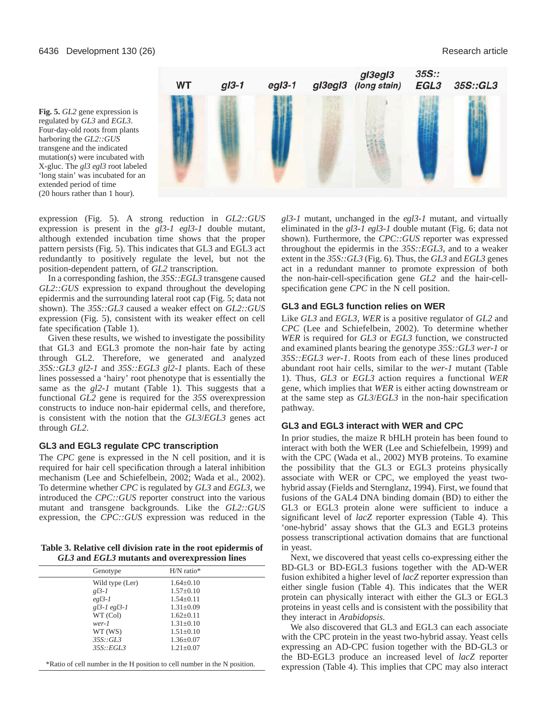**Fig. 5.** *GL2* gene expression is regulated by *GL3* and *EGL3*. Four-day-old roots from plants harboring the *GL2::GUS* transgene and the indicated mutation(s) were incubated with X-gluc. The *gl3 egl3* root labeled 'long stain' was incubated for an extended period of time (20 hours rather than 1 hour).



expression (Fig. 5). A strong reduction in *GL2::GUS* expression is present in the *gl3-1 egl3-1* double mutant, although extended incubation time shows that the proper pattern persists (Fig. 5). This indicates that GL3 and EGL3 act redundantly to positively regulate the level, but not the position-dependent pattern, of *GL2* transcription.

In a corresponding fashion, the *35S::EGL3* transgene caused *GL2::GUS* expression to expand throughout the developing epidermis and the surrounding lateral root cap (Fig. 5; data not shown). The *35S::GL3* caused a weaker effect on *GL2::GUS* expression (Fig. 5), consistent with its weaker effect on cell fate specification (Table 1).

Given these results, we wished to investigate the possibility that GL3 and EGL3 promote the non-hair fate by acting through GL2. Therefore, we generated and analyzed *35S::GL3 gl2-1* and *35S::EGL3 gl2-1* plants. Each of these lines possessed a 'hairy' root phenotype that is essentially the same as the *gl2-1* mutant (Table 1). This suggests that a functional *GL2* gene is required for the *35S* overexpression constructs to induce non-hair epidermal cells, and therefore, is consistent with the notion that the *GL3*/*EGL3* genes act through *GL2*.

## **GL3 and EGL3 regulate CPC transcription**

The *CPC* gene is expressed in the N cell position, and it is required for hair cell specification through a lateral inhibition mechanism (Lee and Schiefelbein, 2002; Wada et al., 2002). To determine whether *CPC* is regulated by *GL3* and *EGL3*, we introduced the *CPC::GUS* reporter construct into the various mutant and transgene backgrounds. Like the *GL2::GUS* expression, the *CPC::GUS* expression was reduced in the

**Table 3. Relative cell division rate in the root epidermis of** *GL3* **and** *EGL3* **mutants and overexpression lines**

| Genotype          | $H/N$ ratio*    |  |
|-------------------|-----------------|--|
| Wild type (Ler)   | $1.64 \pm 0.10$ |  |
| $gl3-I$           | $1.57 \pm 0.10$ |  |
| $eg13-1$          | $1.54 \pm 0.11$ |  |
| $gl3-1$ egl $3-1$ | $1.31 \pm 0.09$ |  |
| WT (Col)          | $1.62+0.11$     |  |
| wer-1             | $1.31 \pm 0.10$ |  |
| WT (WS)           | $1.51 \pm 0.10$ |  |
| 35S::GL3          | $1.36 \pm 0.07$ |  |
| 35S::EGL3         | $1.21 \pm 0.07$ |  |
|                   |                 |  |

\*Ratio of cell number in the H position to cell number in the N position.

*gl3-1* mutant, unchanged in the *egl3-1* mutant, and virtually eliminated in the *gl3-1 egl3-1* double mutant (Fig. 6; data not shown). Furthermore, the *CPC::GUS* reporter was expressed throughout the epidermis in the *35S::EGL3*, and to a weaker extent in the *35S::GL3* (Fig. 6). Thus, the *GL3* and *EGL3* genes act in a redundant manner to promote expression of both the non-hair-cell-specification gene *GL2* and the hair-cellspecification gene *CPC* in the N cell position.

## **GL3 and EGL3 function relies on WER**

Like *GL3* and *EGL3*, *WER* is a positive regulator of *GL2* and *CPC* (Lee and Schiefelbein, 2002). To determine whether *WER* is required for *GL3* or *EGL3* function, we constructed and examined plants bearing the genotype *35S::GL3 wer-1* or *35S::EGL3 wer-1*. Roots from each of these lines produced abundant root hair cells, similar to the *wer-1* mutant (Table 1). Thus, *GL3* or *EGL3* action requires a functional *WER* gene, which implies that *WER* is either acting downstream or at the same step as *GL3*/*EGL3* in the non-hair specification pathway.

## **GL3 and EGL3 interact with WER and CPC**

In prior studies, the maize R bHLH protein has been found to interact with both the WER (Lee and Schiefelbein, 1999) and with the CPC (Wada et al., 2002) MYB proteins. To examine the possibility that the GL3 or EGL3 proteins physically associate with WER or CPC, we employed the yeast twohybrid assay (Fields and Sternglanz, 1994). First, we found that fusions of the GAL4 DNA binding domain (BD) to either the GL3 or EGL3 protein alone were sufficient to induce a significant level of *lacZ* reporter expression (Table 4). This 'one-hybrid' assay shows that the GL3 and EGL3 proteins possess transcriptional activation domains that are functional in yeast.

Next, we discovered that yeast cells co-expressing either the BD-GL3 or BD-EGL3 fusions together with the AD-WER fusion exhibited a higher level of *lacZ* reporter expression than either single fusion (Table 4). This indicates that the WER protein can physically interact with either the GL3 or EGL3 proteins in yeast cells and is consistent with the possibility that they interact in *Arabidopsis*.

We also discovered that GL3 and EGL3 can each associate with the CPC protein in the yeast two-hybrid assay. Yeast cells expressing an AD-CPC fusion together with the BD-GL3 or the BD-EGL3 produce an increased level of *lacZ* reporter expression (Table 4). This implies that CPC may also interact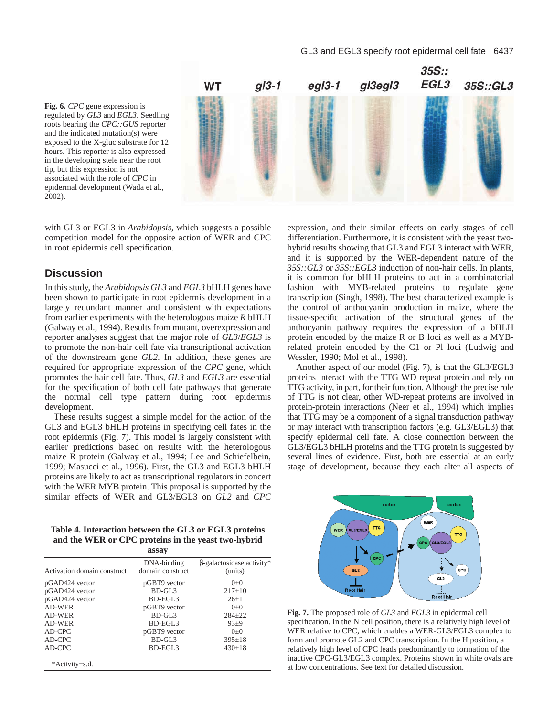**Fig. 6.** *CPC* gene expression is regulated by *GL3* and *EGL3*. Seedling roots bearing the *CPC::GUS* reporter and the indicated mutation(s) were exposed to the X-gluc substrate for 12 hours. This reporter is also expressed in the developing stele near the root tip, but this expression is not associated with the role of *CPC* in epidermal development (Wada et al., 2002).



with GL3 or EGL3 in *Arabidopsis*, which suggests a possible competition model for the opposite action of WER and CPC in root epidermis cell specification.

## **Discussion**

In this study, the *Arabidopsis GL3* and *EGL3* bHLH genes have been shown to participate in root epidermis development in a largely redundant manner and consistent with expectations from earlier experiments with the heterologous maize *R* bHLH (Galway et al., 1994). Results from mutant, overexpression and reporter analyses suggest that the major role of *GL3*/*EGL3* is to promote the non-hair cell fate via transcriptional activation of the downstream gene *GL2*. In addition, these genes are required for appropriate expression of the *CPC* gene, which promotes the hair cell fate. Thus, *GL3* and *EGL3* are essential for the specification of both cell fate pathways that generate the normal cell type pattern during root epidermis development.

These results suggest a simple model for the action of the GL3 and EGL3 bHLH proteins in specifying cell fates in the root epidermis (Fig. 7). This model is largely consistent with earlier predictions based on results with the heterologous maize R protein (Galway et al., 1994; Lee and Schiefelbein, 1999; Masucci et al., 1996). First, the GL3 and EGL3 bHLH proteins are likely to act as transcriptional regulators in concert with the WER MYB protein. This proposal is supported by the similar effects of WER and GL3/EGL3 on *GL2* and *CPC*

**Table 4. Interaction between the GL3 or EGL3 proteins and the WER or CPC proteins in the yeast two-hybrid**

|                             | assay                           |                                             |
|-----------------------------|---------------------------------|---------------------------------------------|
| Activation domain construct | DNA-binding<br>domain construct | $\beta$ -galactosidase activity*<br>(units) |
| pGAD424 vector              | pGBT9 vector                    | $() + ()$                                   |
| pGAD424 vector              | BD-GL <sub>3</sub>              | $217+10$                                    |
| pGAD424 vector              | BD-EGL3                         | $26+1$                                      |
| AD-WER                      | pGBT9 vector                    | $() + ()$                                   |
| AD-WER                      | BD-GL3                          | $284 + 22$                                  |
| AD-WER                      | BD-EGL3                         | $93 + 9$                                    |
| AD-CPC                      | pGBT9 vector                    | $() + ()$                                   |
| AD-CPC                      | $BD-GL3$                        | $395 \pm 18$                                |
| AD-CPC                      | BD-EGL3                         | $430+18$                                    |
| *Activity html.             |                                 |                                             |

expression, and their similar effects on early stages of cell differentiation. Furthermore, it is consistent with the yeast twohybrid results showing that GL3 and EGL3 interact with WER, and it is supported by the WER-dependent nature of the *35S::GL3* or *35S::EGL3* induction of non-hair cells. In plants, it is common for bHLH proteins to act in a combinatorial fashion with MYB-related proteins to regulate gene transcription (Singh, 1998). The best characterized example is the control of anthocyanin production in maize, where the tissue-specific activation of the structural genes of the anthocyanin pathway requires the expression of a bHLH protein encoded by the maize R or B loci as well as a MYBrelated protein encoded by the C1 or Pl loci (Ludwig and Wessler, 1990; Mol et al., 1998).

Another aspect of our model (Fig. 7), is that the GL3/EGL3 proteins interact with the TTG WD repeat protein and rely on TTG activity, in part, for their function. Although the precise role of TTG is not clear, other WD-repeat proteins are involved in protein-protein interactions (Neer et al., 1994) which implies that TTG may be a component of a signal transduction pathway or may interact with transcription factors (e.g. GL3/EGL3) that specify epidermal cell fate. A close connection between the GL3/EGL3 bHLH proteins and the TTG protein is suggested by several lines of evidence. First, both are essential at an early stage of development, because they each alter all aspects of



**Fig. 7.** The proposed role of *GL3* and *EGL3* in epidermal cell specification. In the N cell position, there is a relatively high level of WER relative to CPC, which enables a WER-GL3/EGL3 complex to form and promote GL2 and CPC transcription. In the H position, a relatively high level of CPC leads predominantly to formation of the inactive CPC-GL3/EGL3 complex. Proteins shown in white ovals are at low concentrations. See text for detailed discussion.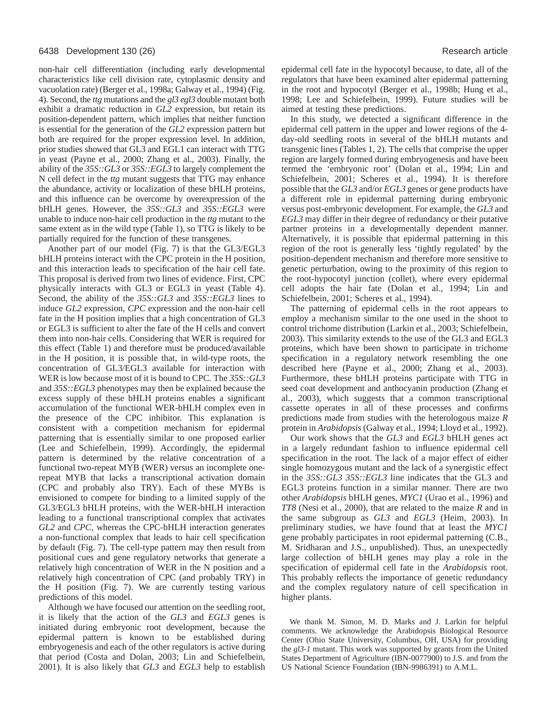non-hair cell differentiation (including early developmental characteristics like cell division rate, cytoplasmic density and vacuolation rate) (Berger et al., 1998a; Galway et al., 1994) (Fig. 4). Second, the *ttg* mutations and the *gl3 egl3* double mutant both exhibit a dramatic reduction in *GL2* expression, but retain its position-dependent pattern, which implies that neither function is essential for the generation of the *GL2* expression pattern but both are required for the proper expression level. In addition, prior studies showed that GL3 and EGL1 can interact with TTG in yeast (Payne et al., 2000; Zhang et al., 2003). Finally, the ability of the *35S::GL3* or *35S::EGL3* to largely complement the N cell defect in the *ttg* mutant suggests that TTG may enhance the abundance, activity or localization of these bHLH proteins, and this influence can be overcome by overexpression of the bHLH genes. However, the *35S::GL3* and *35S::EGL3* were unable to induce non-hair cell production in the *ttg* mutant to the same extent as in the wild type (Table 1), so TTG is likely to be partially required for the function of these transgenes.

Another part of our model (Fig. 7) is that the GL3/EGL3 bHLH proteins interact with the CPC protein in the H position, and this interaction leads to specification of the hair cell fate. This proposal is derived from two lines of evidence. First, CPC physically interacts with GL3 or EGL3 in yeast (Table 4). Second, the ability of the *35S::GL3* and *35S::EGL3* lines to induce *GL2* expression, *CPC* expression and the non-hair cell fate in the H position implies that a high concentration of GL3 or EGL3 is sufficient to alter the fate of the H cells and convert them into non-hair cells. Considering that WER is required for this effect (Table 1) and therefore must be produced/available in the H position, it is possible that, in wild-type roots, the concentration of GL3/EGL3 available for interaction with WER is low because most of it is bound to CPC. The *35S::GL3* and *35S::EGL3* phenotypes may then be explained because the excess supply of these bHLH proteins enables a significant accumulation of the functional WER-bHLH complex even in the presence of the CPC inhibitor. This explanation is consistent with a competition mechanism for epidermal patterning that is essentially similar to one proposed earlier (Lee and Schiefelbein, 1999). Accordingly, the epidermal pattern is determined by the relative concentration of a functional two-repeat MYB (WER) versus an incomplete onerepeat MYB that lacks a transcriptional activation domain (CPC and probably also TRY). Each of these MYBs is envisioned to compete for binding to a limited supply of the GL3/EGL3 bHLH proteins, with the WER-bHLH interaction leading to a functional transcriptional complex that activates *GL2* and *CPC*, whereas the CPC-bHLH interaction generates a non-functional complex that leads to hair cell specification by default (Fig. 7). The cell-type pattern may then result from positional cues and gene regulatory networks that generate a relatively high concentration of WER in the N position and a relatively high concentration of CPC (and probably TRY) in the H position (Fig. 7). We are currently testing various predictions of this model.

Although we have focused our attention on the seedling root, it is likely that the action of the *GL3* and *EGL3* genes is initiated during embryonic root development, because the epidermal pattern is known to be established during embryogenesis and each of the other regulators is active during that period (Costa and Dolan, 2003; Lin and Schiefelbein, 2001). It is also likely that *GL3* and *EGL3* help to establish epidermal cell fate in the hypocotyl because, to date, all of the regulators that have been examined alter epidermal patterning in the root and hypocotyl (Berger et al., 1998b; Hung et al., 1998; Lee and Schiefelbein, 1999). Future studies will be aimed at testing these predictions.

In this study, we detected a significant difference in the epidermal cell pattern in the upper and lower regions of the 4 day-old seedling roots in several of the bHLH mutants and transgenic lines (Tables 1, 2). The cells that comprise the upper region are largely formed during embryogenesis and have been termed the 'embryonic root' (Dolan et al., 1994; Lin and Schiefelbein, 2001; Scheres et al., 1994). It is therefore possible that the *GL3* and/or *EGL3* genes or gene products have a different role in epidermal patterning during embryonic versus post-embryonic development. For example, the *GL3* and *EGL3* may differ in their degree of redundancy or their putative partner proteins in a developmentally dependent manner. Alternatively, it is possible that epidermal patterning in this region of the root is generally less 'tightly regulated' by the position-dependent mechanism and therefore more sensitive to genetic perturbation, owing to the proximity of this region to the root-hypocotyl junction (collet), where every epidermal cell adopts the hair fate (Dolan et al., 1994; Lin and Schiefelbein, 2001; Scheres et al., 1994).

The patterning of epidermal cells in the root appears to employ a mechanism similar to the one used in the shoot to control trichome distribution (Larkin et al., 2003; Schiefelbein, 2003). This similarity extends to the use of the GL3 and EGL3 proteins, which have been shown to participate in trichome specification in a regulatory network resembling the one described here (Payne et al., 2000; Zhang et al., 2003). Furthermore, these bHLH proteins participate with TTG in seed coat development and anthocyanin production (Zhang et al., 2003), which suggests that a common transcriptional cassette operates in all of these processes and confirms predictions made from studies with the heterologous maize *R* protein in *Arabidopsis* (Galway et al., 1994; Lloyd et al., 1992).

Our work shows that the *GL3* and *EGL3* bHLH genes act in a largely redundant fashion to influence epidermal cell specification in the root. The lack of a major effect of either single homozygous mutant and the lack of a synergistic effect in the *35S::GL3 35S::EGL3* line indicates that the GL3 and EGL3 proteins function in a similar manner. There are two other *Arabidopsis* bHLH genes, *MYC1* (Urao et al., 1996) and *TT8* (Nesi et al., 2000), that are related to the maize *R* and in the same subgroup as *GL3* and *EGL3* (Heim, 2003). In preliminary studies, we have found that at least the *MYC1* gene probably participates in root epidermal patterning (C.B., M. Sridharan and J.S., unpublished). Thus, an unexpectedly large collection of bHLH genes may play a role in the specification of epidermal cell fate in the *Arabidopsis* root. This probably reflects the importance of genetic redundancy and the complex regulatory nature of cell specification in higher plants.

We thank M. Simon, M. D. Marks and J. Larkin for helpful comments. We acknowledge the Arabidopsis Biological Resource Center (Ohio State University, Columbus, OH, USA) for providing the *gl3-1* mutant. This work was supported by grants from the United States Department of Agriculture (IBN-0077900) to J.S. and from the US National Science Foundation (IBN-9986391) to A.M.L.